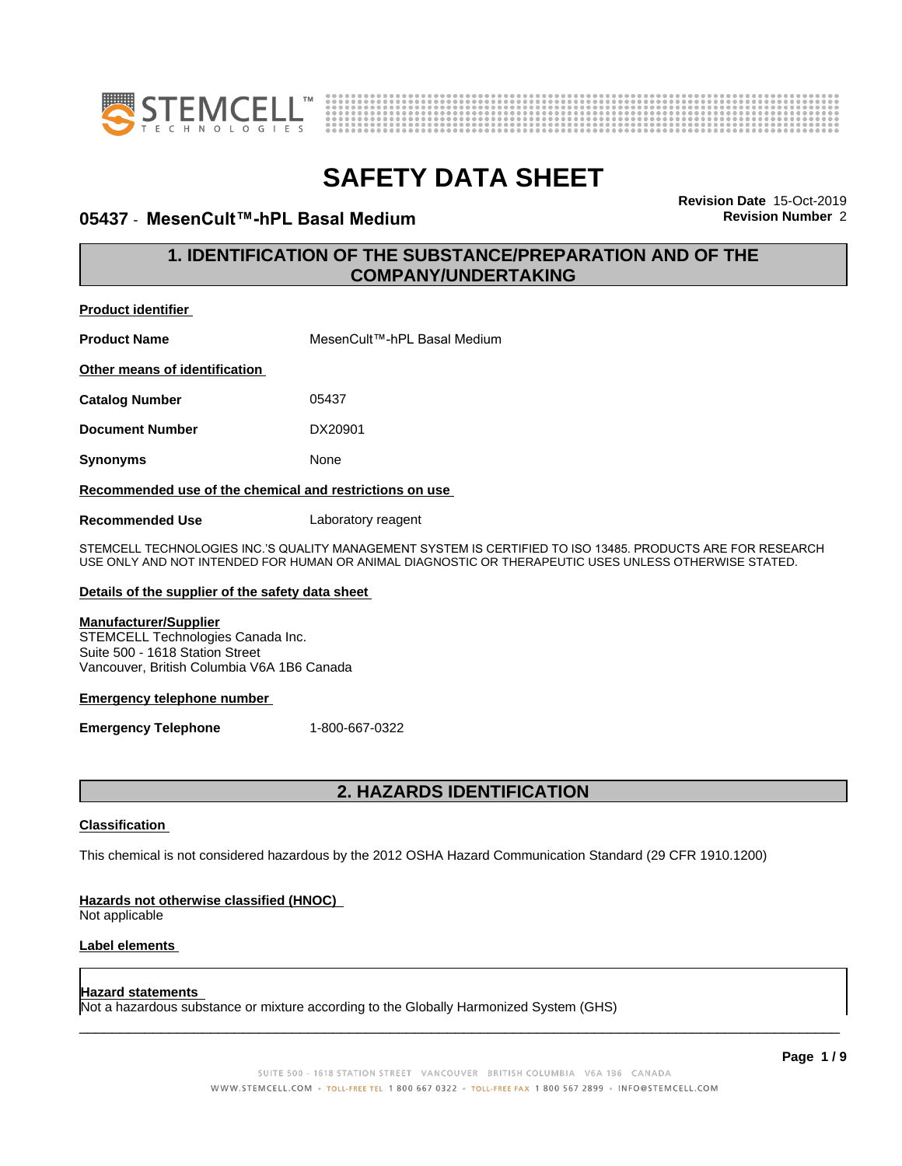



## **05437 ⋅ MesenCult™-hPL Basal Medium Revision Revision** Number 2

**Revision Date** 15-Oct-2019

## **1. IDENTIFICATION OF THE SUBSTANCE/PREPARATION AND OF THE COMPANY/UNDERTAKING**

| <b>Product identifier</b>                               |                             |
|---------------------------------------------------------|-----------------------------|
| <b>Product Name</b>                                     | MesenCult™-hPL Basal Medium |
| Other means of identification                           |                             |
| <b>Catalog Number</b>                                   | 05437                       |
| <b>Document Number</b>                                  | DX20901                     |
| <b>Synonyms</b>                                         | None                        |
| Recommended use of the chemical and restrictions on use |                             |
| <b>Recommended Use</b>                                  | Laboratory reagent          |

STEMCELL TECHNOLOGIES INC.'S QUALITY MANAGEMENT SYSTEM IS CERTIFIED TO ISO 13485. PRODUCTS ARE FOR RESEARCH USE ONLY AND NOT INTENDED FOR HUMAN OR ANIMAL DIAGNOSTIC OR THERAPEUTIC USES UNLESS OTHERWISE STATED.

#### **Details of the supplier of the safety data sheet**

## **Manufacturer/Supplier**

STEMCELL Technologies Canada Inc. Suite 500 - 1618 Station Street Vancouver, British Columbia V6A 1B6 Canada

#### **Emergency telephone number**

**Emergency Telephone** 1-800-667-0322

## **2. HAZARDS IDENTIFICATION**

#### **Classification**

This chemical is not considered hazardous by the 2012 OSHA Hazard Communication Standard (29 CFR 1910.1200)

#### **Hazards not otherwise classified (HNOC)**

Not applicable

## **Label elements**

#### **Hazard statements**

Not a hazardous substance or mixture according to the Globally Harmonized System (GHS)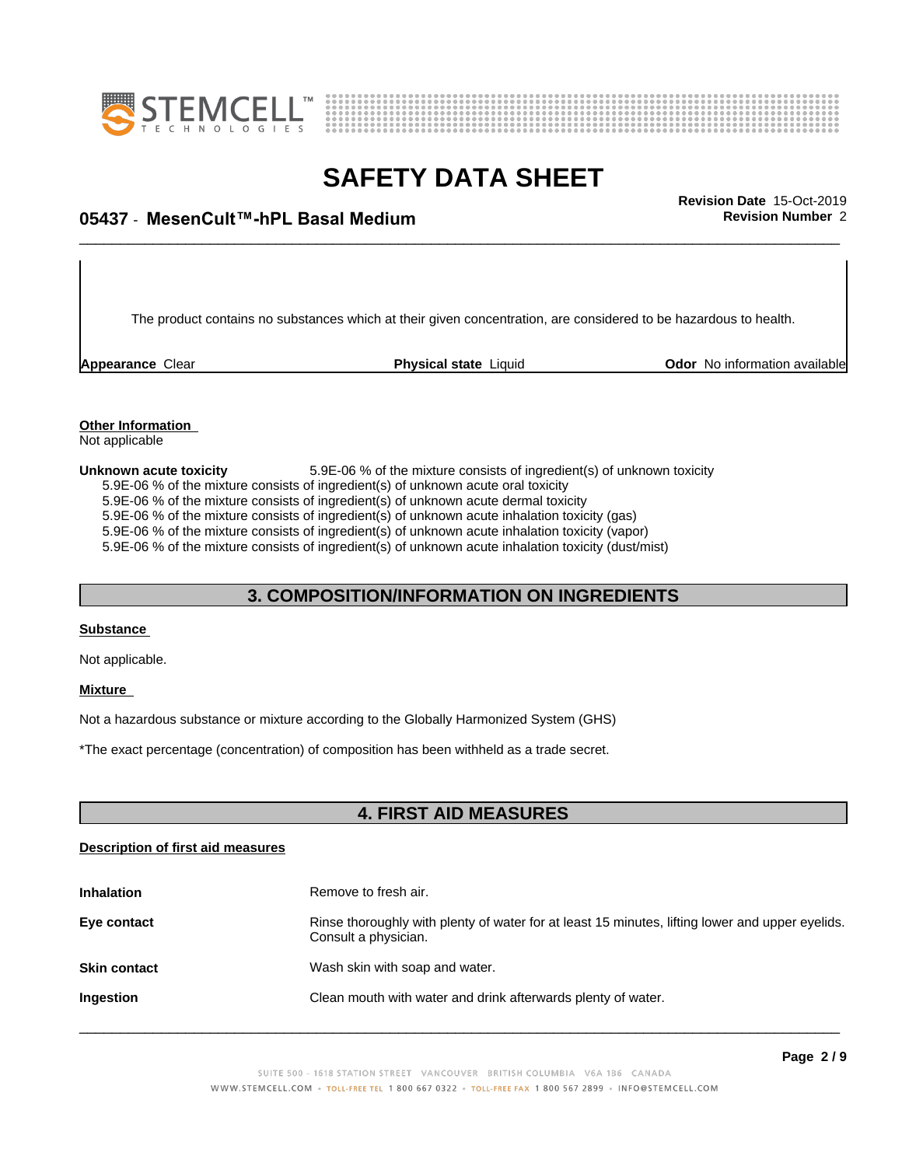



## \_\_\_\_\_\_\_\_\_\_\_\_\_\_\_\_\_\_\_\_\_\_\_\_\_\_\_\_\_\_\_\_\_\_\_\_\_\_\_\_\_\_\_\_\_\_\_\_\_\_\_\_\_\_\_\_\_\_\_\_\_\_\_\_\_\_\_\_\_\_\_\_\_\_\_\_\_\_\_\_\_\_\_\_\_\_\_\_\_\_\_\_\_ **Revision Date** 15-Oct-2019 **05437 ⋅ MesenCult™-hPL Basal Medium Revision Revision** Number 2

The product contains no substances which at their given concentration, are considered to be hazardous to health.

**Appearance** Clear **Physical state** Liquid **Odor No information available Appearance** Clear

#### **Other Information** Not applicable

**Unknown acute toxicity** 5.9E-06 % of the mixture consists of ingredient(s) of unknown toxicity 5.9E-06 % of the mixture consists of ingredient(s) of unknown acute oral toxicity 5.9E-06 % of the mixture consists of ingredient(s) of unknown acute dermal toxicity 5.9E-06 % of the mixture consists of ingredient(s) of unknown acute inhalation toxicity (gas) 5.9E-06 % of the mixture consists of ingredient(s) of unknown acute inhalation toxicity (vapor) 5.9E-06 % of the mixture consists of ingredient(s) of unknown acute inhalation toxicity (dust/mist)

## **3. COMPOSITION/INFORMATION ON INGREDIENTS**

#### **Substance**

Not applicable.

#### **Mixture**

Not a hazardous substance or mixture according to the Globally Harmonized System (GHS)

\*The exact percentage (concentration) ofcomposition has been withheld as a trade secret.

## **4. FIRST AID MEASURES**

#### **Description of first aid measures**

| <b>Inhalation</b>   | Remove to fresh air.                                                                                                    |
|---------------------|-------------------------------------------------------------------------------------------------------------------------|
| Eye contact         | Rinse thoroughly with plenty of water for at least 15 minutes, lifting lower and upper eyelids.<br>Consult a physician. |
| <b>Skin contact</b> | Wash skin with soap and water.                                                                                          |
| Ingestion           | Clean mouth with water and drink afterwards plenty of water.                                                            |
|                     |                                                                                                                         |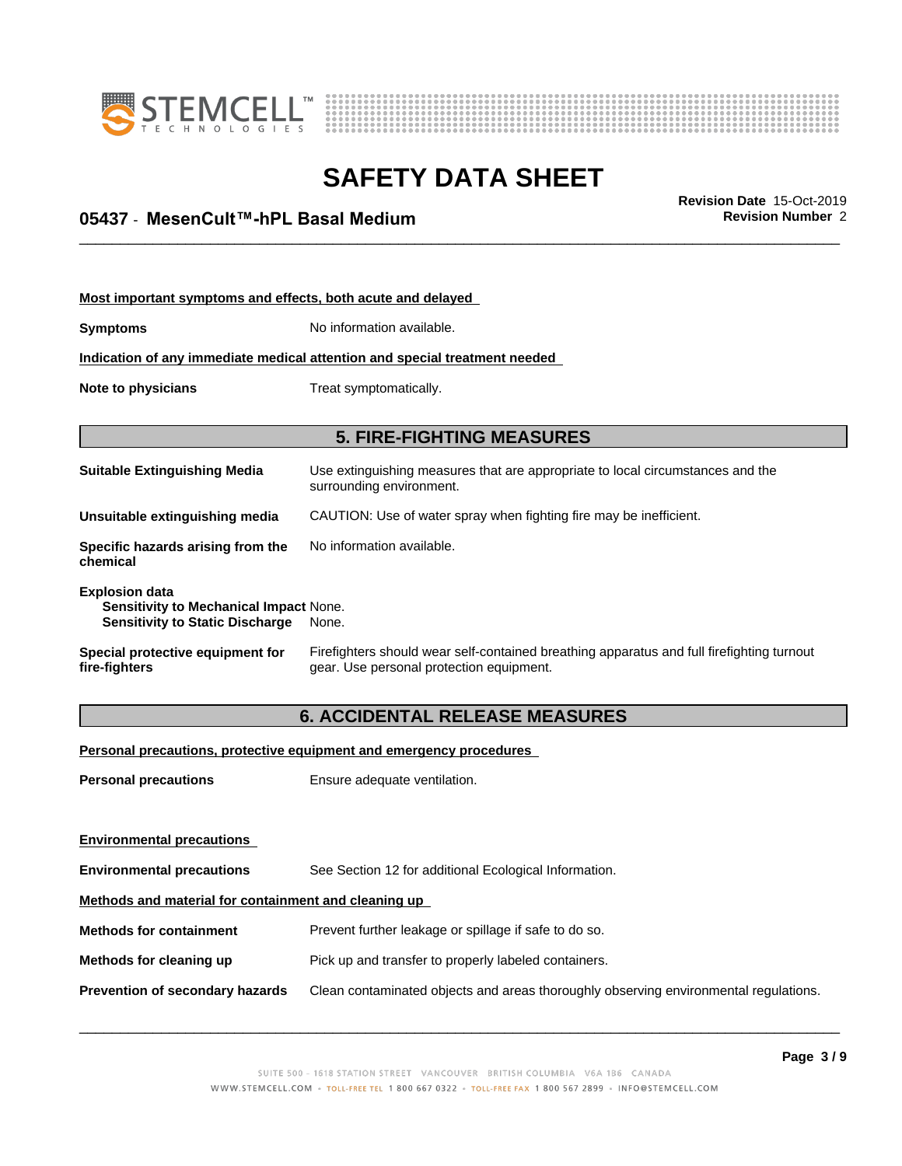



## \_\_\_\_\_\_\_\_\_\_\_\_\_\_\_\_\_\_\_\_\_\_\_\_\_\_\_\_\_\_\_\_\_\_\_\_\_\_\_\_\_\_\_\_\_\_\_\_\_\_\_\_\_\_\_\_\_\_\_\_\_\_\_\_\_\_\_\_\_\_\_\_\_\_\_\_\_\_\_\_\_\_\_\_\_\_\_\_\_\_\_\_\_ **Revision Date** 15-Oct-2019 **05437 ⋅ MesenCult™-hPL Basal Medium Revision Revision** Number 2

| Most important symptoms and effects, both acute and delayed                                               |                                                                                                                                       |
|-----------------------------------------------------------------------------------------------------------|---------------------------------------------------------------------------------------------------------------------------------------|
| <b>Symptoms</b>                                                                                           | No information available.                                                                                                             |
|                                                                                                           | Indication of any immediate medical attention and special treatment needed                                                            |
| Note to physicians                                                                                        | Treat symptomatically.                                                                                                                |
|                                                                                                           | <b>5. FIRE-FIGHTING MEASURES</b>                                                                                                      |
| <b>Suitable Extinguishing Media</b>                                                                       | Use extinguishing measures that are appropriate to local circumstances and the<br>surrounding environment.                            |
| Unsuitable extinguishing media                                                                            | CAUTION: Use of water spray when fighting fire may be inefficient.                                                                    |
| Specific hazards arising from the<br>chemical                                                             | No information available.                                                                                                             |
| <b>Explosion data</b><br>Sensitivity to Mechanical Impact None.<br><b>Sensitivity to Static Discharge</b> | None.                                                                                                                                 |
| Special protective equipment for<br>fire-fighters                                                         | Firefighters should wear self-contained breathing apparatus and full firefighting turnout<br>gear. Use personal protection equipment. |
|                                                                                                           | <b>C. ACCIDENTAL DELEAGE MEAGLIDEG</b>                                                                                                |

## **6. ACCIDENTAL RELEASE MEASURES**

**Personal precautions, protective equipment and emergency procedures**

**Personal precautions** Ensure adequate ventilation.

| <b>Environmental precautions</b>                     |                                                                                      |
|------------------------------------------------------|--------------------------------------------------------------------------------------|
| <b>Environmental precautions</b>                     | See Section 12 for additional Ecological Information.                                |
| Methods and material for containment and cleaning up |                                                                                      |
| <b>Methods for containment</b>                       | Prevent further leakage or spillage if safe to do so.                                |
| Methods for cleaning up                              | Pick up and transfer to properly labeled containers.                                 |
| Prevention of secondary hazards                      | Clean contaminated objects and areas thoroughly observing environmental regulations. |
|                                                      |                                                                                      |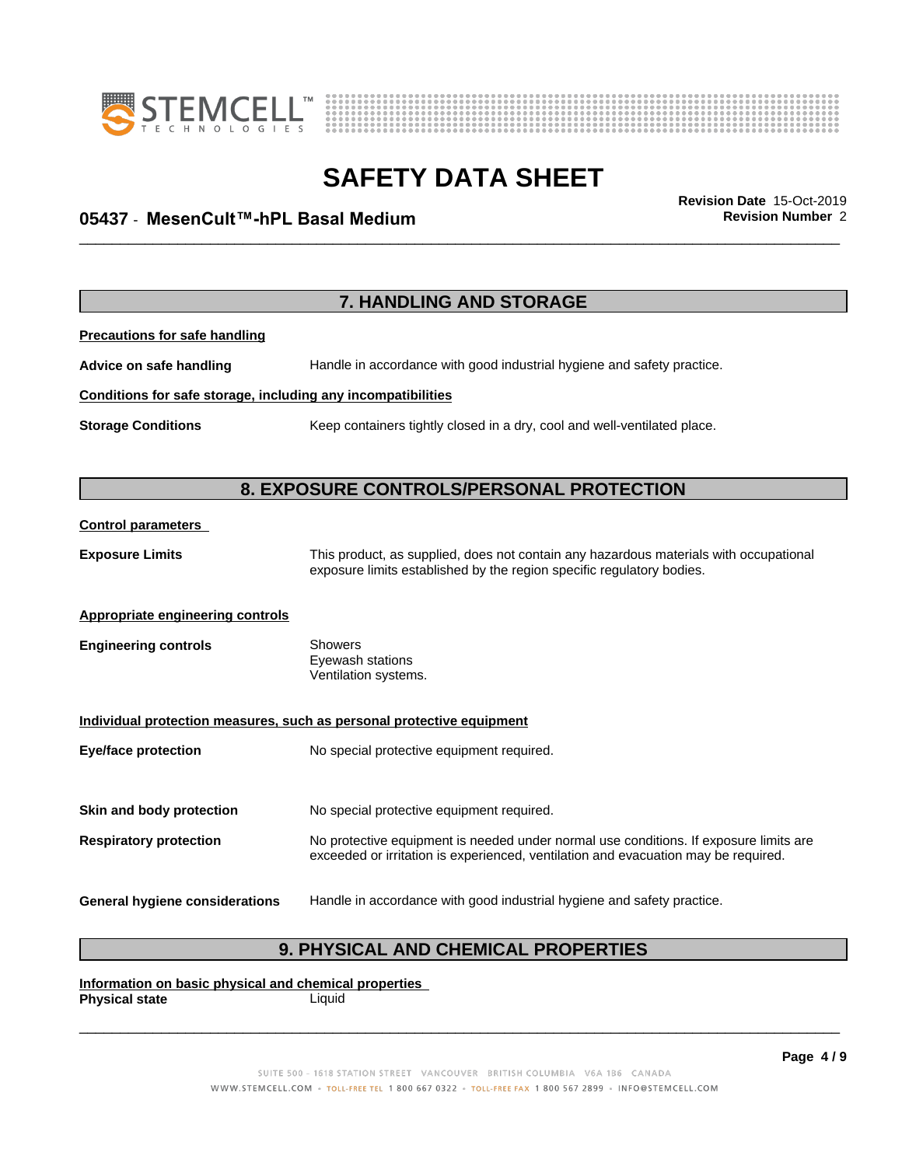



## \_\_\_\_\_\_\_\_\_\_\_\_\_\_\_\_\_\_\_\_\_\_\_\_\_\_\_\_\_\_\_\_\_\_\_\_\_\_\_\_\_\_\_\_\_\_\_\_\_\_\_\_\_\_\_\_\_\_\_\_\_\_\_\_\_\_\_\_\_\_\_\_\_\_\_\_\_\_\_\_\_\_\_\_\_\_\_\_\_\_\_\_\_ **Revision Date** 15-Oct-2019 **05437 ⋅ MesenCult™-hPL Basal Medium Revision Revision** Number 2

|                                                              | 7. HANDLING AND STORAGE                                                                                                                                                     |
|--------------------------------------------------------------|-----------------------------------------------------------------------------------------------------------------------------------------------------------------------------|
| <b>Precautions for safe handling</b>                         |                                                                                                                                                                             |
| Advice on safe handling                                      | Handle in accordance with good industrial hygiene and safety practice.                                                                                                      |
| Conditions for safe storage, including any incompatibilities |                                                                                                                                                                             |
| <b>Storage Conditions</b>                                    | Keep containers tightly closed in a dry, cool and well-ventilated place.                                                                                                    |
|                                                              |                                                                                                                                                                             |
|                                                              | 8. EXPOSURE CONTROLS/PERSONAL PROTECTION                                                                                                                                    |
| <b>Control parameters</b>                                    |                                                                                                                                                                             |
| <b>Exposure Limits</b>                                       | This product, as supplied, does not contain any hazardous materials with occupational<br>exposure limits established by the region specific regulatory bodies.              |
| <b>Appropriate engineering controls</b>                      |                                                                                                                                                                             |
| <b>Engineering controls</b>                                  | <b>Showers</b><br>Eyewash stations<br>Ventilation systems.                                                                                                                  |
|                                                              | Individual protection measures, such as personal protective equipment                                                                                                       |
| <b>Eye/face protection</b>                                   | No special protective equipment required.                                                                                                                                   |
| Skin and body protection                                     | No special protective equipment required.                                                                                                                                   |
| <b>Respiratory protection</b>                                | No protective equipment is needed under normal use conditions. If exposure limits are<br>exceeded or irritation is experienced, ventilation and evacuation may be required. |
| <b>General hygiene considerations</b>                        | Handle in accordance with good industrial hygiene and safety practice.                                                                                                      |

## **9. PHYSICAL AND CHEMICAL PROPERTIES**

**Information on basic physical and chemical properties Physical state**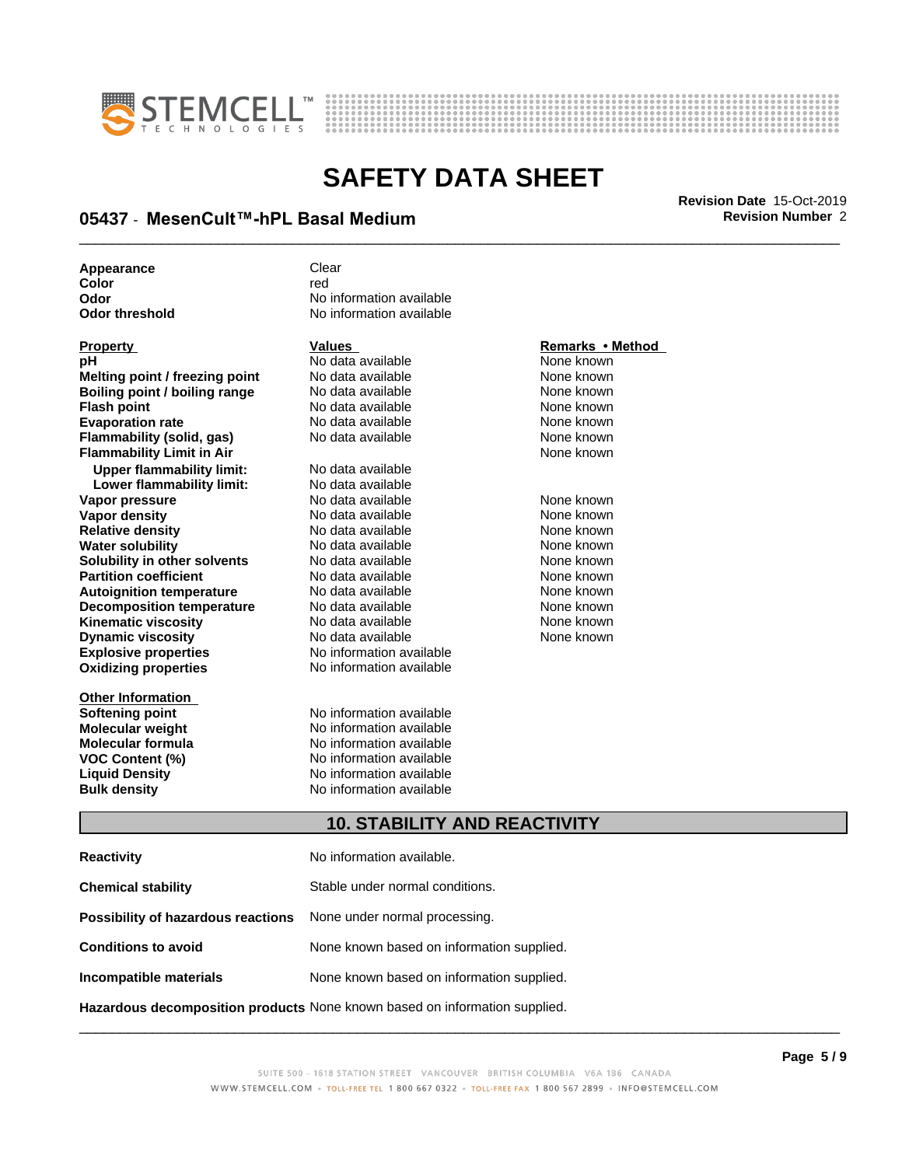



## \_\_\_\_\_\_\_\_\_\_\_\_\_\_\_\_\_\_\_\_\_\_\_\_\_\_\_\_\_\_\_\_\_\_\_\_\_\_\_\_\_\_\_\_\_\_\_\_\_\_\_\_\_\_\_\_\_\_\_\_\_\_\_\_\_\_\_\_\_\_\_\_\_\_\_\_\_\_\_\_\_\_\_\_\_\_\_\_\_\_\_\_\_ **Revision Date** 15-Oct-2019 **05437 ⋅ MesenCult™-hPL Basal Medium Revision Revision** Number 2

Appearance **Clear** 

|                          | Remarks • Method |
|--------------------------|------------------|
| No data available        | None known       |
| No data available        | None known       |
| No data available        | None known       |
| No data available        | None known       |
| No data available        | None known       |
| No data available        | None known       |
|                          | None known       |
| No data available        |                  |
| No data available        |                  |
| No data available        | None known       |
| No data available        | None known       |
| No data available        | None known       |
| No data available        | None known       |
| No data available        | None known       |
| No data available        | None known       |
| No data available        | None known       |
| No data available        | None known       |
| No data available        | None known       |
| No data available        | None known       |
| No information available |                  |
| No information available |                  |
|                          |                  |
| No information available |                  |
| No information available |                  |
| No information available |                  |
|                          | Values           |

**Color** red red **Color Odor** No information available **Odor threshold** No information available

**mation available mation available VOC Content (%)** No information available **Liquid Density** No information available **Bulk density** No information available

## **Property Idea Adventures**<br>Property in the Mone known<br>**Property Adventures**

## **10. STABILITY AND REACTIVITY**

| <b>Reactivity</b>                                                          | No information available.                 |
|----------------------------------------------------------------------------|-------------------------------------------|
| <b>Chemical stability</b>                                                  | Stable under normal conditions.           |
| Possibility of hazardous reactions                                         | None under normal processing.             |
| <b>Conditions to avoid</b>                                                 | None known based on information supplied. |
| Incompatible materials                                                     | None known based on information supplied. |
| Hazardous decomposition products None known based on information supplied. |                                           |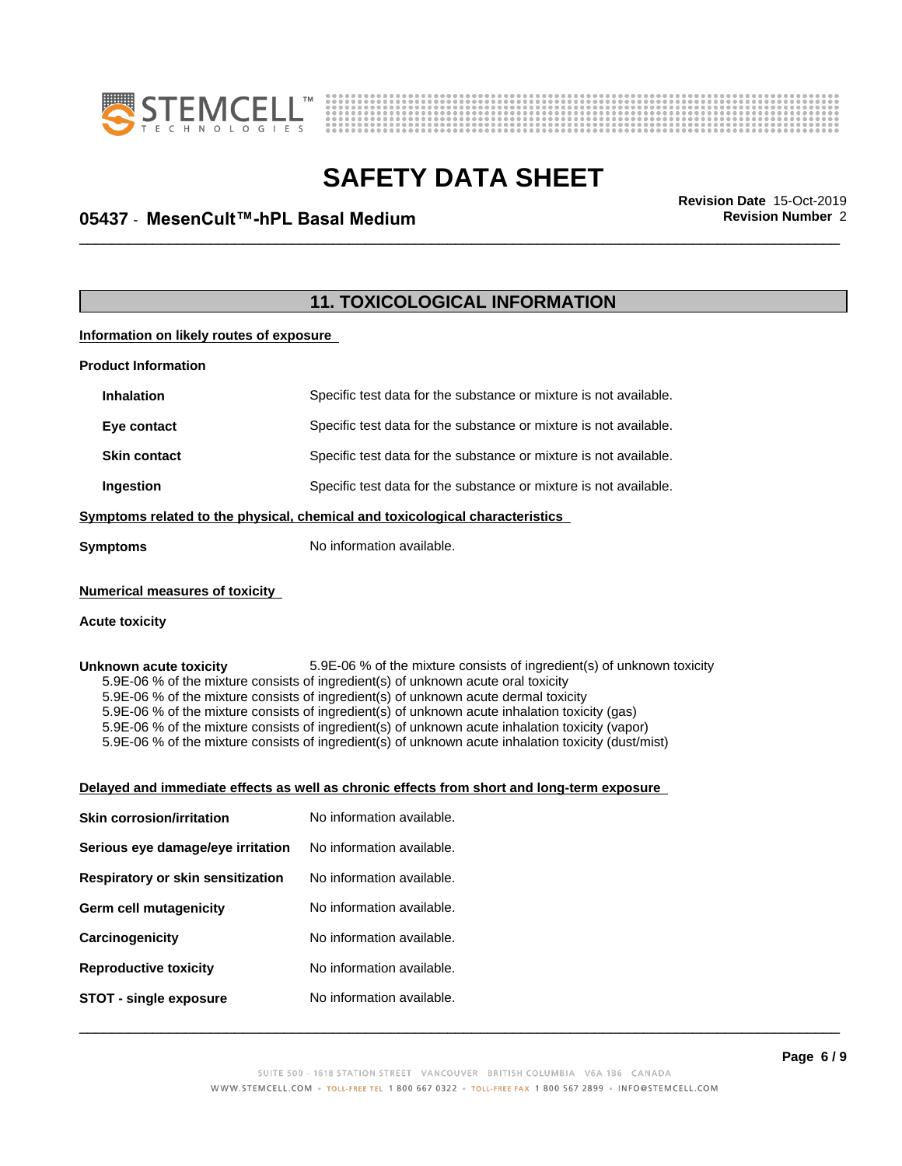



## \_\_\_\_\_\_\_\_\_\_\_\_\_\_\_\_\_\_\_\_\_\_\_\_\_\_\_\_\_\_\_\_\_\_\_\_\_\_\_\_\_\_\_\_\_\_\_\_\_\_\_\_\_\_\_\_\_\_\_\_\_\_\_\_\_\_\_\_\_\_\_\_\_\_\_\_\_\_\_\_\_\_\_\_\_\_\_\_\_\_\_\_\_ **Revision Date** 15-Oct-2019 **05437 ⋅ MesenCult™-hPL Basal Medium Revision Revision** Number 2

## **11. TOXICOLOGICAL INFORMATION**

**Information on likely routes of exposure**

| <b>Product Information</b>                                                                                                                                                                                                                                                                                                                                                                                                                                                                                                                                                                                                                                                            |                                                                   |  |
|---------------------------------------------------------------------------------------------------------------------------------------------------------------------------------------------------------------------------------------------------------------------------------------------------------------------------------------------------------------------------------------------------------------------------------------------------------------------------------------------------------------------------------------------------------------------------------------------------------------------------------------------------------------------------------------|-------------------------------------------------------------------|--|
| <b>Inhalation</b>                                                                                                                                                                                                                                                                                                                                                                                                                                                                                                                                                                                                                                                                     | Specific test data for the substance or mixture is not available. |  |
| Eye contact                                                                                                                                                                                                                                                                                                                                                                                                                                                                                                                                                                                                                                                                           | Specific test data for the substance or mixture is not available. |  |
| <b>Skin contact</b>                                                                                                                                                                                                                                                                                                                                                                                                                                                                                                                                                                                                                                                                   | Specific test data for the substance or mixture is not available. |  |
| Ingestion                                                                                                                                                                                                                                                                                                                                                                                                                                                                                                                                                                                                                                                                             | Specific test data for the substance or mixture is not available. |  |
| Symptoms related to the physical, chemical and toxicological characteristics                                                                                                                                                                                                                                                                                                                                                                                                                                                                                                                                                                                                          |                                                                   |  |
| <b>Symptoms</b>                                                                                                                                                                                                                                                                                                                                                                                                                                                                                                                                                                                                                                                                       | No information available.                                         |  |
| <b>Numerical measures of toxicity</b>                                                                                                                                                                                                                                                                                                                                                                                                                                                                                                                                                                                                                                                 |                                                                   |  |
| <b>Acute toxicity</b>                                                                                                                                                                                                                                                                                                                                                                                                                                                                                                                                                                                                                                                                 |                                                                   |  |
| Unknown acute toxicity<br>5.9E-06 % of the mixture consists of ingredient(s) of unknown toxicity<br>5.9E-06 % of the mixture consists of ingredient(s) of unknown acute oral toxicity<br>5.9E-06 % of the mixture consists of ingredient(s) of unknown acute dermal toxicity<br>5.9E-06 % of the mixture consists of ingredient(s) of unknown acute inhalation toxicity (gas)<br>5.9E-06 % of the mixture consists of ingredient(s) of unknown acute inhalation toxicity (vapor)<br>5.9E-06 % of the mixture consists of ingredient(s) of unknown acute inhalation toxicity (dust/mist)<br>Delayed and immediate effects as well as chronic effects from short and long-term exposure |                                                                   |  |
| <b>Skin corrosion/irritation</b>                                                                                                                                                                                                                                                                                                                                                                                                                                                                                                                                                                                                                                                      | No information available.                                         |  |
| Serious eye damage/eye irritation                                                                                                                                                                                                                                                                                                                                                                                                                                                                                                                                                                                                                                                     | No information available.                                         |  |
| Respiratory or skin sensitization                                                                                                                                                                                                                                                                                                                                                                                                                                                                                                                                                                                                                                                     | No information available.                                         |  |
| Germ cell mutagenicity                                                                                                                                                                                                                                                                                                                                                                                                                                                                                                                                                                                                                                                                | No information available.                                         |  |
| Carcinogenicity                                                                                                                                                                                                                                                                                                                                                                                                                                                                                                                                                                                                                                                                       | No information available.                                         |  |
| <b>Reproductive toxicity</b>                                                                                                                                                                                                                                                                                                                                                                                                                                                                                                                                                                                                                                                          | No information available.                                         |  |
| <b>STOT - single exposure</b>                                                                                                                                                                                                                                                                                                                                                                                                                                                                                                                                                                                                                                                         | No information available.                                         |  |
|                                                                                                                                                                                                                                                                                                                                                                                                                                                                                                                                                                                                                                                                                       |                                                                   |  |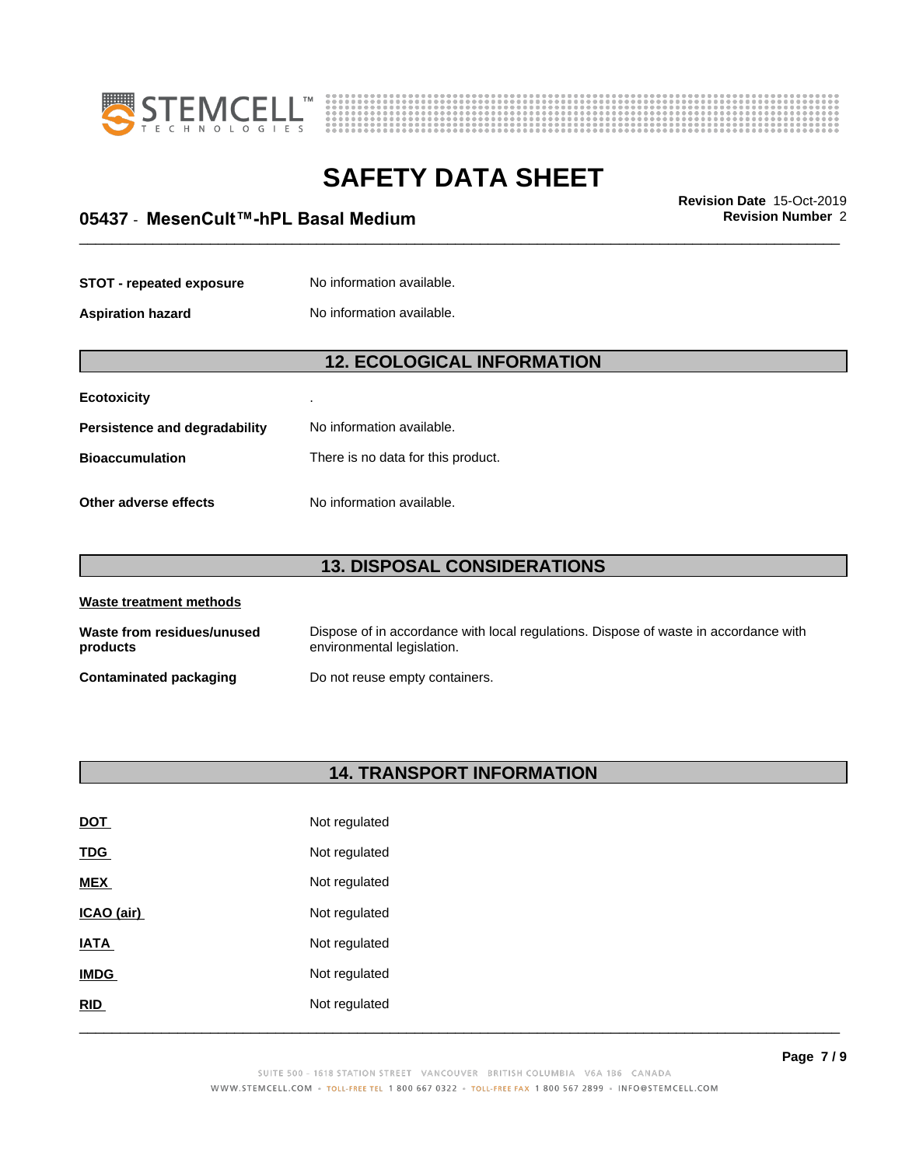



## \_\_\_\_\_\_\_\_\_\_\_\_\_\_\_\_\_\_\_\_\_\_\_\_\_\_\_\_\_\_\_\_\_\_\_\_\_\_\_\_\_\_\_\_\_\_\_\_\_\_\_\_\_\_\_\_\_\_\_\_\_\_\_\_\_\_\_\_\_\_\_\_\_\_\_\_\_\_\_\_\_\_\_\_\_\_\_\_\_\_\_\_\_ **Revision Date** 15-Oct-2019 **05437 ⋅ MesenCult™-hPL Basal Medium Revision Revision** Number 2

| <b>STOT - repeated exposure</b> | No information available. |
|---------------------------------|---------------------------|
|                                 |                           |

**Aspiration hazard** No information available.

## **12. ECOLOGICAL INFORMATION**

| <b>Ecotoxicity</b>            |                                    |
|-------------------------------|------------------------------------|
| Persistence and degradability | No information available.          |
| <b>Bioaccumulation</b>        | There is no data for this product. |
| Other adverse effects         | No information available.          |

## **13. DISPOSAL CONSIDERATIONS**

| Waste treatment methods                |                                                                                                                    |  |
|----------------------------------------|--------------------------------------------------------------------------------------------------------------------|--|
| Waste from residues/unused<br>products | Dispose of in accordance with local regulations. Dispose of waste in accordance with<br>environmental legislation. |  |
| Contaminated packaging                 | Do not reuse empty containers.                                                                                     |  |

## **14. TRANSPORT INFORMATION**

| <u>DOT</u>  | Not regulated |
|-------------|---------------|
| <b>TDG</b>  | Not regulated |
| <b>MEX</b>  | Not regulated |
| ICAO (air)  | Not regulated |
| <b>IATA</b> | Not regulated |
| <b>IMDG</b> | Not regulated |
| RID         | Not regulated |
|             |               |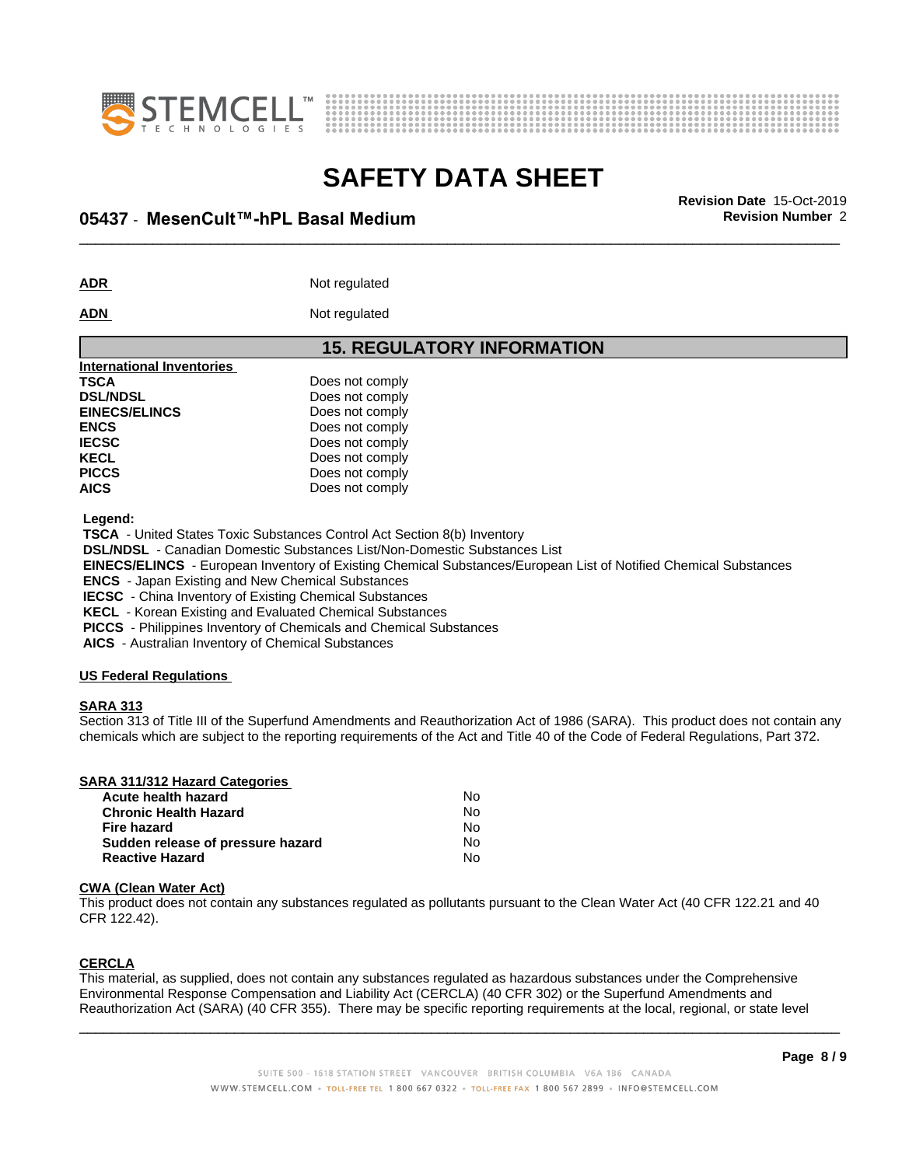



# **SAFETY DATA SHEET**<br>Revision Date 15-Oct-2019

## \_\_\_\_\_\_\_\_\_\_\_\_\_\_\_\_\_\_\_\_\_\_\_\_\_\_\_\_\_\_\_\_\_\_\_\_\_\_\_\_\_\_\_\_\_\_\_\_\_\_\_\_\_\_\_\_\_\_\_\_\_\_\_\_\_\_\_\_\_\_\_\_\_\_\_\_\_\_\_\_\_\_\_\_\_\_\_\_\_\_\_\_\_ **Revision Date** 15-Oct-2019 **05437 ⋅ MesenCult™-hPL Basal Medium Revision Revision** Number 2

ADR **ADR** Not regulated

## **ADN** Not regulated

|                                  | <b>15. REGULATORY INFORMATION</b> |
|----------------------------------|-----------------------------------|
| <b>International Inventories</b> |                                   |
| TSCA                             | Does not comply                   |
| <b>DSL/NDSL</b>                  | Does not comply                   |
| <b>EINECS/ELINCS</b>             | Does not comply                   |
| <b>ENCS</b>                      | Does not comply                   |
| <b>IECSC</b>                     | Does not comply                   |
| KECL                             | Does not comply                   |
| <b>PICCS</b>                     | Does not comply                   |
| <b>AICS</b>                      | Does not comply                   |
|                                  |                                   |

 **Legend:**

 **TSCA** - United States Toxic Substances Control Act Section 8(b) Inventory

 **DSL/NDSL** - Canadian Domestic Substances List/Non-Domestic Substances List

 **EINECS/ELINCS** - European Inventory of Existing Chemical Substances/European List of Notified Chemical Substances

 **ENCS** - Japan Existing and New Chemical Substances

 **IECSC** - China Inventory of Existing Chemical Substances

 **KECL** - Korean Existing and Evaluated Chemical Substances

 **PICCS** - Philippines Inventory of Chemicals and Chemical Substances

**Sudden release of pressure hazard** No **Reactive Hazard** No

 **AICS** - Australian Inventory of Chemical Substances

#### **US Federal Regulations**

#### **SARA 313**

Section 313 of Title III of the Superfund Amendments and Reauthorization Act of 1986 (SARA). This product does not contain any chemicals which are subject to the reporting requirements of the Act and Title 40 of the Code of Federal Regulations, Part 372.

| <b>SARA 311/312 Hazard Categories</b> |    |  |
|---------------------------------------|----|--|
| Acute health hazard                   | N٥ |  |
| <b>Chronic Health Hazard</b>          | Nο |  |
| Fire hazard                           | No |  |

#### **CWA** (Clean Water Act)

This product does not contain any substances regulated as pollutants pursuant to the Clean Water Act (40 CFR 122.21 and 40 CFR 122.42).

## **CERCLA**

This material, as supplied, does not contain any substances regulated as hazardous substances under the Comprehensive Environmental Response Compensation and Liability Act (CERCLA) (40 CFR 302) or the Superfund Amendments and Reauthorization Act (SARA) (40 CFR 355). There may be specific reporting requirements at the local, regional, or state level